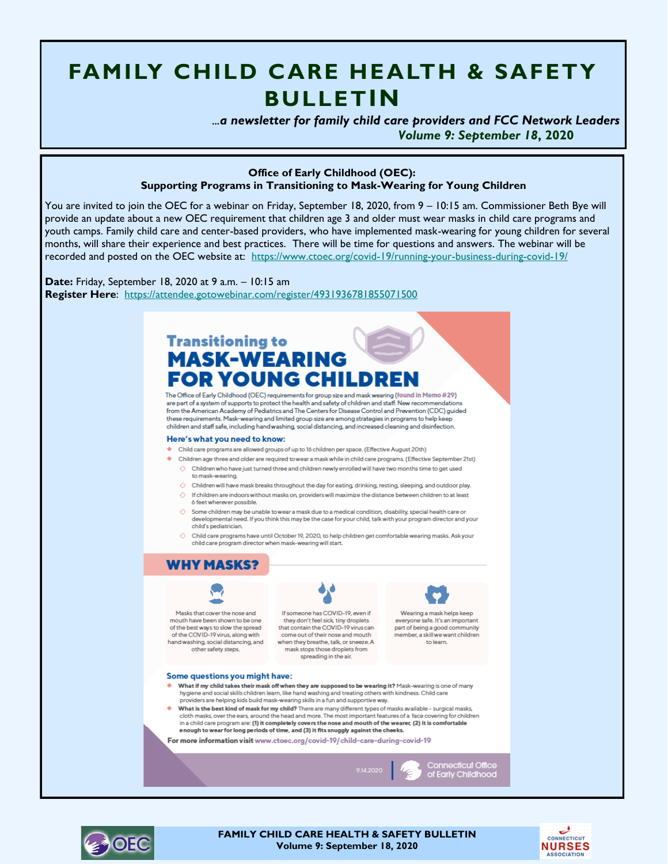# **FAMILY CHILD CARE HEALTH & SAFETY BULLETIN**

 *...a newsletter for family child care providers and FCC Network Leaders Volume 9: September 18***, 2020**

#### **Office of Early Childhood (OEC): Supporting Programs in Transitioning to Mask-Wearing for Young Children**

You are invited to join the OEC for a webinar on Friday, September 18, 2020, from 9 – 10:15 am. Commissioner Beth Bye will provide an update about a new OEC requirement that children age 3 and older must wear masks in child care programs and youth camps. Family child care and center-based providers, who have implemented mask-wearing for young children for several months, will share their experience and best practices. There will be time for questions and answers. The webinar will be recorded and posted on the OEC website at: <https://www.ctoec.org/covid-19/running-your-business-during-covid-19/>

**Date:** Friday, September 18, 2020 at 9 a.m. – 10:15 am **Register Here**: <https://attendee.gotowebinar.com/register/4931936781855071500>

## **Transitioning to MASK-WEARING FOR YOUNG CHILDRE**

The Office of Early Childhood (OEC) requirements for group size and mask wearing (found in Memo #29) are part of a system of supports to protect the health and safety of children and staff. New recommendations from the American Academy of Pediatrics and The Centers for Disease Control and Prevention (CDC) guided these requirements. Mask-wearing and limited group size are among strategies in programs to help keep children and staff safe, including hand washing, social distancing, and increased cleaning and disinfection.

#### Here's what you need to know:

- Child care programs are allowed groups of up to 16 children per space. (Effective August 20th)
- ♦ Children age three and older are required to wear a mask while in child care programs. (Effective September 21st)  $\Diamond$  Children who have just turned three and children newly enrolled will have two months time to get used to mask-wearing.
	- $\Diamond$  Children will have mask breaks throughout the day for eating, drinking, resting, sleeping, and outdoor play.
	- $\Diamond$  If children are indoors without masks on, providers will maximize the distance between children to at least 6 feet wherever possible.
	- $\Diamond$  Some children may be unable to wear a mask due to a medical condition, disability, special health care or developmental need. If you think this may be the case for your child, talk with your program director and your child's pediatrician.
	- $\Diamond$  Child care programs have until October 19, 2020, to help children get comfortable wearing masks. Ask your child care program director when mask-wearing will start



Wearing a mask helps keep everyone safe. It's an important part of being a good community member, a skill we want children to learn.

**Connecticut Office**<br>of Early Childhood

#### Some questions you might have:

- What if my child takes their mask off when they are supposed to be wearing it? Mask-wearing is one of many hygiene and social skills children learn, like hand washing and treating others with kindness. Child care<br>providers are helping kids build mask-wearing skills in a fun and supportive way.
- What is the best kind of mask for my child? There are many different types of masks available surgical masks, cloth masks, over the ears, around the head and more. The most important features of a face covering for children in a child care program are: (1) it completely covers the nose and mouth of the wearer, (2) it is comfortable e nough to wear for long periods of time, and (3) it fits snuggly against the cheeks.

For more information visit www.ctoec.org/covid-19/child-care-during-covid-19